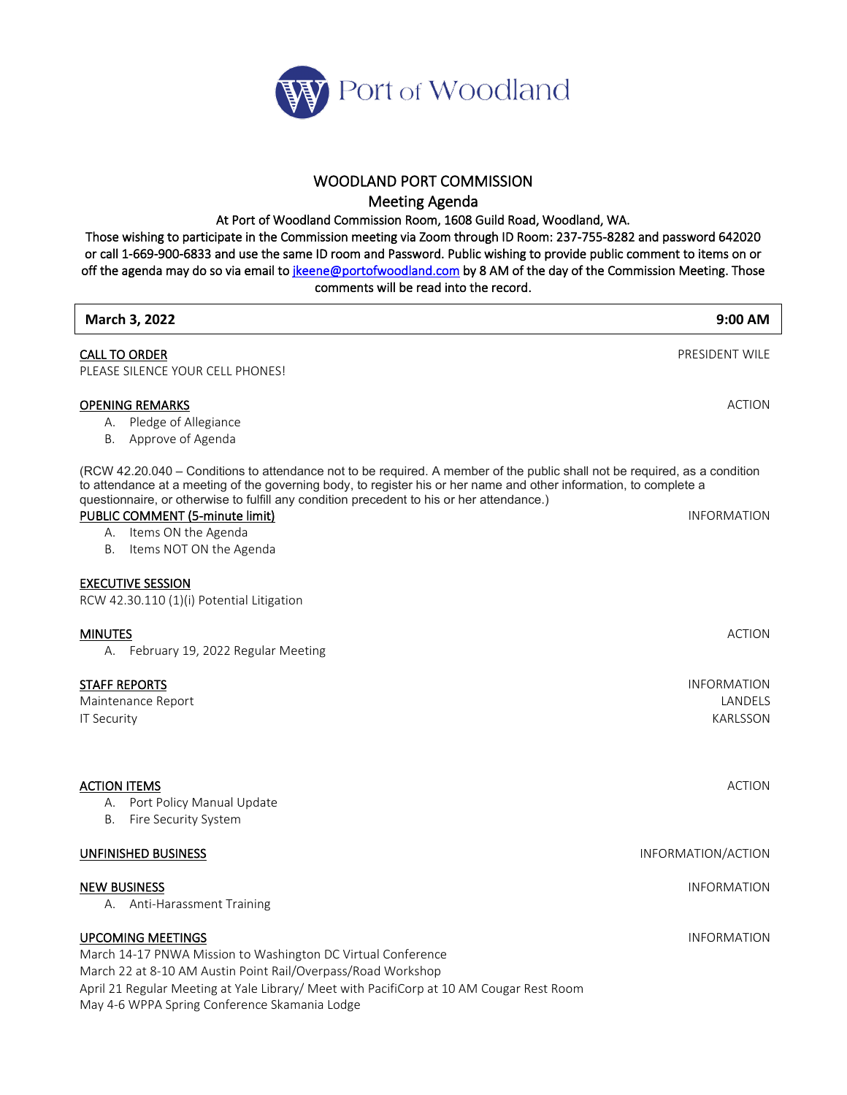

## WOODLAND PORT COMMISSION

Meeting Agenda

At Port of Woodland Commission Room, 1608 Guild Road, Woodland, WA.

Those wishing to participate in the Commission meeting via Zoom through ID Room: 237-755-8282 and password 642020 or call 1-669-900-6833 and use the same ID room and Password. Public wishing to provide public comment to items on or off the agenda may do so via email to *jkeene@portofwoodland.com* by 8 AM of the day of the Commission Meeting. Those comments will be read into the record.

| March 3, 2022                                                                                                                                                                                                                                                                                                                                 | $9:00$ AM                                        |
|-----------------------------------------------------------------------------------------------------------------------------------------------------------------------------------------------------------------------------------------------------------------------------------------------------------------------------------------------|--------------------------------------------------|
| <b>CALL TO ORDER</b><br>PLEASE SILENCE YOUR CELL PHONES!                                                                                                                                                                                                                                                                                      | PRESIDENT WILE                                   |
| <b>OPENING REMARKS</b><br>A. Pledge of Allegiance<br>B. Approve of Agenda                                                                                                                                                                                                                                                                     | <b>ACTION</b>                                    |
| (RCW 42.20.040 - Conditions to attendance not to be required. A member of the public shall not be required, as a condition<br>to attendance at a meeting of the governing body, to register his or her name and other information, to complete a<br>questionnaire, or otherwise to fulfill any condition precedent to his or her attendance.) |                                                  |
| PUBLIC COMMENT (5-minute limit)<br>A. Items ON the Agenda<br>Items NOT ON the Agenda<br>В.                                                                                                                                                                                                                                                    | <b>INFORMATION</b>                               |
| <b>EXECUTIVE SESSION</b><br>RCW 42.30.110 (1)(i) Potential Litigation                                                                                                                                                                                                                                                                         |                                                  |
| <b>MINUTES</b><br>A. February 19, 2022 Regular Meeting                                                                                                                                                                                                                                                                                        | <b>ACTION</b>                                    |
| <b>STAFF REPORTS</b><br>Maintenance Report<br><b>IT Security</b>                                                                                                                                                                                                                                                                              | <b>INFORMATION</b><br>LANDELS<br><b>KARLSSON</b> |
| <b>ACTION ITEMS</b><br>A. Port Policy Manual Update<br>В.<br>Fire Security System                                                                                                                                                                                                                                                             | <b>ACTION</b>                                    |
| <b>UNFINISHED BUSINESS</b>                                                                                                                                                                                                                                                                                                                    | INFORMATION/ACTION                               |
| <b>NEW BUSINESS</b><br>A. Anti-Harassment Training                                                                                                                                                                                                                                                                                            | <b>INFORMATION</b>                               |
| <b>UPCOMING MEETINGS</b><br>March 14-17 PNWA Mission to Washington DC Virtual Conference<br>March 22 at 8-10 AM Austin Point Rail/Overpass/Road Workshop<br>April 21 Regular Meeting at Yale Library/ Meet with PacifiCorp at 10 AM Cougar Rest Room<br>May 4-6 WPPA Spring Conference Skamania Lodge                                         | <b>INFORMATION</b>                               |